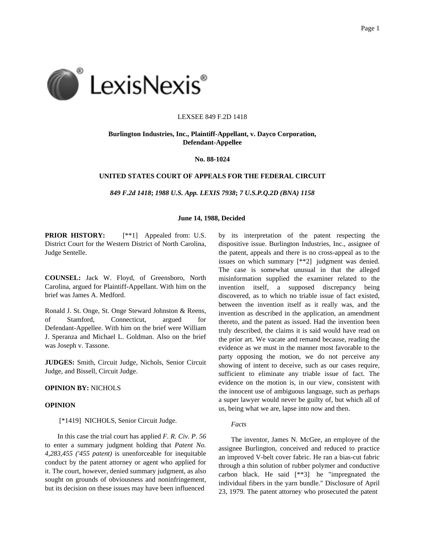

#### LEXSEE 849 F.2D 1418

### **Burlington Industries, Inc., Plaintiff-Appellant, v. Dayco Corporation, Defendant-Appellee**

#### **No. 88-1024**

## **UNITED STATES COURT OF APPEALS FOR THE FEDERAL CIRCUIT**

*849 F.2d 1418***;** *1988 U.S. App. LEXIS 7938***;** *7 U.S.P.Q.2D (BNA) 1158*

#### **June 14, 1988, Decided**

**PRIOR HISTORY:**  $[**1]$  Appealed from: U.S. District Court for the Western District of North Carolina, Judge Sentelle.

**COUNSEL:** Jack W. Floyd, of Greensboro, North Carolina, argued for Plaintiff-Appellant. With him on the brief was James A. Medford.

Ronald J. St. Onge, St. Onge Steward Johnston & Reens, of Stamford, Connecticut, argued for Defendant-Appellee. With him on the brief were William J. Speranza and Michael L. Goldman. Also on the brief was Joseph v. Tassone.

**JUDGES:** Smith, Circuit Judge, Nichols, Senior Circuit Judge, and Bissell, Circuit Judge.

# **OPINION BY:** NICHOLS

#### **OPINION**

[\*1419] NICHOLS, Senior Circuit Judge.

In this case the trial court has applied *F. R. Civ. P. 56* to enter a summary judgment holding that *Patent No. 4,283,455 ('455 patent)* is unenforceable for inequitable conduct by the patent attorney or agent who applied for it. The court, however, denied summary judgment, as also sought on grounds of obviousness and noninfringement, but its decision on these issues may have been influenced

by its interpretation of the patent respecting the dispositive issue. Burlington Industries, Inc., assignee of the patent, appeals and there is no cross-appeal as to the issues on which summary [\*\*2] judgment was denied. The case is somewhat unusual in that the alleged misinformation supplied the examiner related to the invention itself, a supposed discrepancy being discovered, as to which no triable issue of fact existed, between the invention itself as it really was, and the invention as described in the application, an amendment thereto, and the patent as issued. Had the invention been truly described, the claims it is said would have read on the prior art. We vacate and remand because, reading the evidence as we must in the manner most favorable to the party opposing the motion, we do not perceive any showing of intent to deceive, such as our cases require, sufficient to eliminate any triable issue of fact. The evidence on the motion is, in our view, consistent with the innocent use of ambiguous language, such as perhaps a super lawyer would never be guilty of, but which all of us, being what we are, lapse into now and then.

#### *Facts*

The inventor, James N. McGee, an employee of the assignee Burlington, conceived and reduced to practice an improved V-belt cover fabric. He ran a bias-cut fabric through a thin solution of rubber polymer and conductive carbon black. He said [\*\*3] he "impregnated the individual fibers in the yarn bundle." Disclosure of April 23, 1979. The patent attorney who prosecuted the patent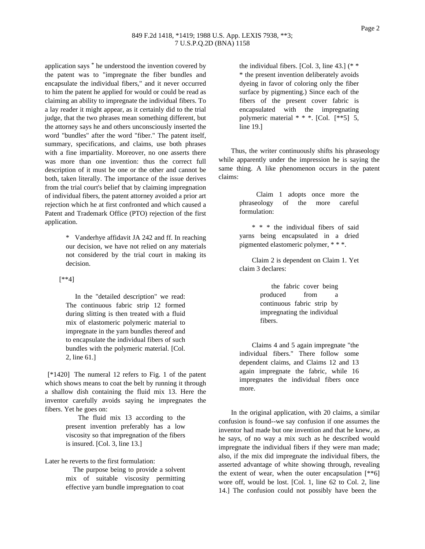### 849 F.2d 1418, \*1419; 1988 U.S. App. LEXIS 7938, \*\*3; 7 U.S.P.Q.2D (BNA) 1158

application says \* he understood the invention covered by the patent was to "impregnate the fiber bundles and encapsulate the individual fibers," and it never occurred to him the patent he applied for would or could be read as claiming an ability to impregnate the individual fibers. To a lay reader it might appear, as it certainly did to the trial judge, that the two phrases mean something different, but the attorney says he and others unconsciously inserted the word "bundles" after the word "fiber." The patent itself, summary, specifications, and claims, use both phrases with a fine impartiality. Moreover, no one asserts there was more than one invention: thus the correct full description of it must be one or the other and cannot be both, taken literally. The importance of the issue derives from the trial court's belief that by claiming impregnation of individual fibers, the patent attorney avoided a prior art rejection which he at first confronted and which caused a Patent and Trademark Office (PTO) rejection of the first application.

> \* Vanderhye affidavit JA 242 and ff. In reaching our decision, we have not relied on any materials not considered by the trial court in making its decision.

# [\*\*4]

In the "detailed description" we read: The continuous fabric strip 12 formed during slitting is then treated with a fluid mix of elastomeric polymeric material to impregnate in the yarn bundles thereof and to encapsulate the individual fibers of such bundles with the polymeric material. [Col. 2, line 61.]

[\*1420] The numeral 12 refers to Fig. 1 of the patent which shows means to coat the belt by running it through a shallow dish containing the fluid mix 13. Here the inventor carefully avoids saying he impregnates the fibers. Yet he goes on:

> The fluid mix 13 according to the present invention preferably has a low viscosity so that impregnation of the fibers is insured. [Col. 3, line 13.]

Later he reverts to the first formulation:

The purpose being to provide a solvent mix of suitable viscosity permitting effective yarn bundle impregnation to coat

the individual fibers. [Col. 3, line 43.] (\* \* \* the present invention deliberately avoids dyeing in favor of coloring only the fiber surface by pigmenting.) Since each of the fibers of the present cover fabric is encapsulated with the impregnating polymeric material \* \* \*. [Col. [\*\*5] 5, line 19.]

Thus, the writer continuously shifts his phraseology while apparently under the impression he is saying the same thing. A like phenomenon occurs in the patent claims:

> Claim 1 adopts once more the phraseology of the more careful formulation:

> \* \* \* the individual fibers of said yarns being encapsulated in a dried pigmented elastomeric polymer, \* \* \*.

> Claim 2 is dependent on Claim 1. Yet claim 3 declares:

> > the fabric cover being produced from a continuous fabric strip by impregnating the individual fibers.

Claims 4 and 5 again impregnate "the individual fibers." There follow some dependent claims, and Claims 12 and 13 again impregnate the fabric, while 16 impregnates the individual fibers once more.

In the original application, with 20 claims, a similar confusion is found--we say confusion if one assumes the inventor had made but one invention and that he knew, as he says, of no way a mix such as he described would impregnate the individual fibers if they were man made; also, if the mix did impregnate the individual fibers, the asserted advantage of white showing through, revealing the extent of wear, when the outer encapsulation  $[**6]$ wore off, would be lost. [Col. 1, line 62 to Col. 2, line 14.] The confusion could not possibly have been the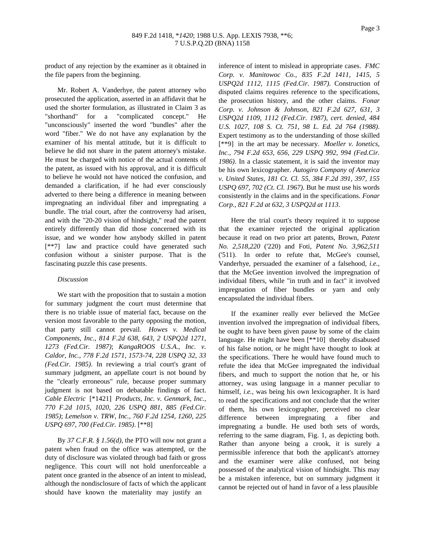product of any rejection by the examiner as it obtained in the file papers from the beginning.

Mr. Robert A. Vanderhye, the patent attorney who prosecuted the application, asserted in an affidavit that he used the shorter formulation, as illustrated in Claim 3 as "shorthand" for a "complicated concept." He "unconsciously" inserted the word "bundles" after the word "fiber." We do not have any explanation by the examiner of his mental attitude, but it is difficult to believe he did not share in the patent attorney's mistake. He must be charged with notice of the actual contents of the patent, as issued with his approval, and it is difficult to believe he would not have noticed the confusion, and demanded a clarification, if he had ever consciously adverted to there being a difference in meaning between impregnating an individual fiber and impregnating a bundle. The trial court, after the controversy had arisen, and with the "20-20 vision of hindsight," read the patent entirely differently than did those concerned with its issue, and we wonder how anybody skilled in patent [\*\*7] law and practice could have generated such confusion without a sinister purpose. That is the fascinating puzzle this case presents.

#### *Discussion*

We start with the proposition that to sustain a motion for summary judgment the court must determine that there is no triable issue of material fact, because on the version most favorable to the party opposing the motion, that party still cannot prevail. *Howes v. Medical Components, Inc., 814 F.2d 638, 643, 2 USPQ2d 1271, 1273 (Fed.Cir. 1987)*; *KangaROOS U.S.A., Inc. v. Caldor, Inc., 778 F.2d 1571, 1573-74, 228 USPQ 32, 33 (Fed.Cir. 1985)*. In reviewing a trial court's grant of summary judgment, an appellate court is not bound by the "clearly erroneous" rule, because proper summary judgment is not based on debatable findings of fact. *Cable Electric* [\*1421] *Products, Inc. v. Genmark, Inc., 770 F.2d 1015, 1020, 226 USPQ 881, 885 (Fed.Cir. 1985)*; *Lemelson v. TRW, Inc., 760 F.2d 1254, 1260, 225 USPQ 697, 700 (Fed.Cir. 1985)*. [\*\*8]

By *37 C.F.R. § 1.56(d)*, the PTO will now not grant a patent when fraud on the office was attempted, or the duty of disclosure was violated through bad faith or gross negligence. This court will not hold unenforceable a patent once granted in the absence of an intent to mislead, although the nondisclosure of facts of which the applicant should have known the materiality may justify an

inference of intent to mislead in appropriate cases. *FMC Corp. v. Manitowoc Co., 835 F.2d 1411, 1415, 5 USPQ2d 1112, 1115 (Fed.Cir. 1987)*. Construction of disputed claims requires reference to the specifications, the prosecution history, and the other claims. *Fonar Corp. v. Johnson & Johnson, 821 F.2d 627, 631, 3 USPQ2d 1109, 1112 (Fed.Cir. 1987)*, *cert. denied*, *484 U.S. 1027, 108 S. Ct. 751, 98 L. Ed. 2d 764 (1988)*. Expert testimony as to the understanding of those skilled [\*\*9] in the art may be necessary. *Moeller v. Ionetics, Inc., 794 F.2d 653, 656, 229 USPQ 992, 994 (Fed.Cir. 1986)*. In a classic statement, it is said the inventor may be his own lexicographer. *Autogiro Company of America v. United States, 181 Ct. Cl. 55, 384 F.2d 391, 397, 155 USPQ 697, 702 (Ct. Cl. 1967)*. But he must use his words consistently in the claims and in the specifications. *Fonar Corp., 821 F.2d at 632, 3 USPQ2d at 1113*.

Here the trial court's theory required it to suppose that the examiner rejected the original application because it read on two prior art patents, Brown, *Patent No. 2,518,220* ('220) and Foti, *Patent No. 3,962,511* ('511). In order to refute that, McGee's counsel, Vanderhye, persuaded the examiner of a falsehood, *i.e.*, that the McGee invention involved the impregnation of individual fibers, while "in truth and in fact" it involved impregnation of fiber bundles or yarn and only encapsulated the individual fibers.

If the examiner really ever believed the McGee invention involved the impregnation of individual fibers, he ought to have been given pause by some of the claim language. He might have been [\*\*10] thereby disabused of his false notion, or he might have thought to look at the specifications. There he would have found much to refute the idea that McGee impregnated the individual fibers, and much to support the notion that he, or his attorney, was using language in a manner peculiar to himself, *i.e.*, was being his own lexicographer. It is hard to read the specifications and not conclude that the writer of them, his own lexicographer, perceived no clear difference between impregnating a fiber and impregnating a bundle. He used both sets of words, referring to the same diagram, Fig. 1, as depicting both. Rather than anyone being a crook, it is surely a permissible inference that both the applicant's attorney and the examiner were alike confused, not being possessed of the analytical vision of hindsight. This may be a mistaken inference, but on summary judgment it cannot be rejected out of hand in favor of a less plausible